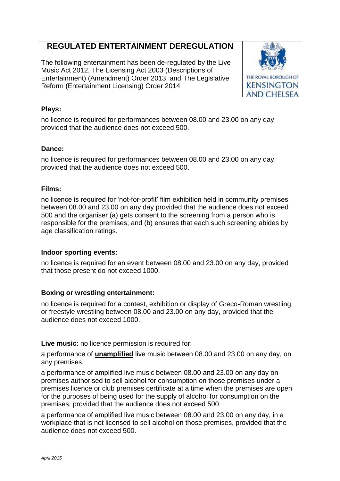# **REGULATED ENTERTAINMENT DEREGULATION**

The following entertainment has been de-regulated by the Live Music Act 2012, The Licensing Act 2003 (Descriptions of Entertainment) (Amendment) Order 2013, and The Legislative Reform (Entertainment Licensing) Order 2014



## **Plays:**

no licence is required for performances between 08.00 and 23.00 on any day, provided that the audience does not exceed 500.

### **Dance:**

no licence is required for performances between 08.00 and 23.00 on any day, provided that the audience does not exceed 500.

### **Films:**

no licence is required for 'not-for-profit' film exhibition held in community premises between 08.00 and 23.00 on any day provided that the audience does not exceed 500 and the organiser (a) gets consent to the screening from a person who is responsible for the premises; and (b) ensures that each such screening abides by age classification ratings.

#### **Indoor sporting events:**

no licence is required for an event between 08.00 and 23.00 on any day, provided that those present do not exceed 1000.

# **Boxing or wrestling entertainment:**

no licence is required for a contest, exhibition or display of Greco-Roman wrestling, or freestyle wrestling between 08.00 and 23.00 on any day, provided that the audience does not exceed 1000.

**Live music:** no licence permission is required for:

a performance of **unamplified** live music between 08.00 and 23.00 on any day, on any premises.

a performance of amplified live music between 08.00 and 23.00 on any day on premises authorised to sell alcohol for consumption on those premises under a premises licence or club premises certificate at a time when the premises are open for the purposes of being used for the supply of alcohol for consumption on the premises, provided that the audience does not exceed 500.

a performance of amplified live music between 08.00 and 23.00 on any day, in a workplace that is not licensed to sell alcohol on those premises, provided that the audience does not exceed 500.